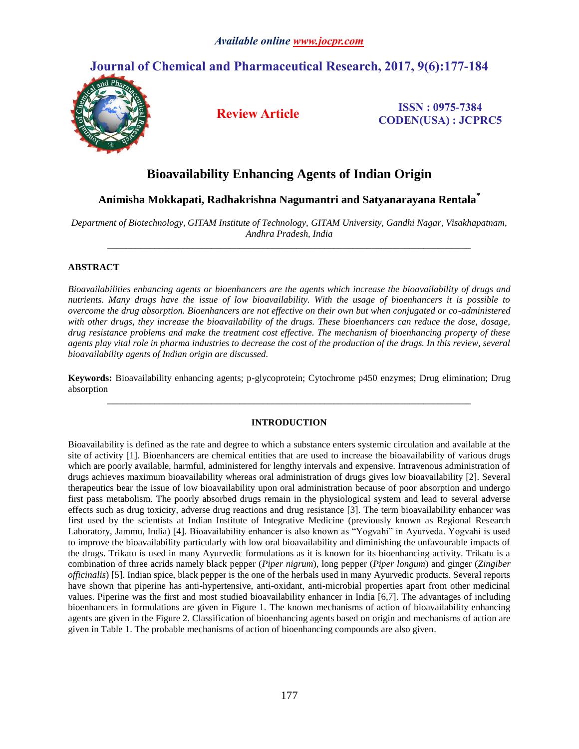# **Journal of Chemical and Pharmaceutical Research, 2017, 9(6):177-184**



**Review Article ISSN : 0975-7384 CODEN(USA) : JCPRC5**

# **Bioavailability Enhancing Agents of Indian Origin**

# **Animisha Mokkapati, Radhakrishna Nagumantri and Satyanarayana Rentala\***

*Department of Biotechnology, GITAM Institute of Technology, GITAM University, Gandhi Nagar, Visakhapatnam, Andhra Pradesh, India \_\_\_\_\_\_\_\_\_\_\_\_\_\_\_\_\_\_\_\_\_\_\_\_\_\_\_\_\_\_\_\_\_\_\_\_\_\_\_\_\_\_\_\_\_\_\_\_\_\_\_\_\_\_\_\_\_\_\_\_\_\_\_\_\_\_\_\_\_\_\_\_\_\_\_\_\_*

# **ABSTRACT**

*Bioavailabilities enhancing agents or bioenhancers are the agents which increase the bioavailability of drugs and nutrients. Many drugs have the issue of low bioavailability. With the usage of bioenhancers it is possible to overcome the drug absorption. Bioenhancers are not effective on their own but when conjugated or co-administered*  with other drugs, they increase the bioavailability of the drugs. These bioenhancers can reduce the dose, dosage, *drug resistance problems and make the treatment cost effective. The mechanism of bioenhancing property of these agents play vital role in pharma industries to decrease the cost of the production of the drugs. In this review, several bioavailability agents of Indian origin are discussed.* 

**Keywords:** Bioavailability enhancing agents; p-glycoprotein; Cytochrome p450 enzymes; Drug elimination; Drug absorption *\_\_\_\_\_\_\_\_\_\_\_\_\_\_\_\_\_\_\_\_\_\_\_\_\_\_\_\_\_\_\_\_\_\_\_\_\_\_\_\_\_\_\_\_\_\_\_\_\_\_\_\_\_\_\_\_\_\_\_\_\_\_\_\_\_\_\_\_\_\_\_\_\_\_\_\_\_*

# **INTRODUCTION**

Bioavailability is defined as the rate and degree to which a substance enters systemic circulation and available at the site of activity [1]. Bioenhancers are chemical entities that are used to increase the bioavailability of various drugs which are poorly available, harmful, administered for lengthy intervals and expensive. Intravenous administration of drugs achieves maximum bioavailability whereas oral administration of drugs gives low bioavailability [2]. Several therapeutics bear the issue of low bioavailability upon oral administration because of poor absorption and undergo first pass metabolism. The poorly absorbed drugs remain in the physiological system and lead to several adverse effects such as drug toxicity, adverse drug reactions and drug resistance [3]. The term bioavailability enhancer was first used by the scientists at Indian Institute of Integrative Medicine (previously known as Regional Research Laboratory, Jammu, India) [4]. Bioavailability enhancer is also known as "Yogvahi" in Ayurveda. Yogvahi is used to improve the bioavailability particularly with low oral bioavailability and diminishing the unfavourable impacts of the drugs. Trikatu is used in many Ayurvedic formulations as it is known for its bioenhancing activity. Trikatu is a combination of three acrids namely black pepper (*Piper nigrum*), long pepper (*Piper longum*) and ginger (*Zingiber officinalis*) [5]. Indian spice, black pepper is the one of the herbals used in many Ayurvedic products. Several reports have shown that piperine has anti-hypertensive, anti-oxidant, anti-microbial properties apart from other medicinal values. Piperine was the first and most studied bioavailability enhancer in India [6,7]. The advantages of including bioenhancers in formulations are given in Figure 1. The known mechanisms of action of bioavailability enhancing agents are given in the Figure 2. Classification of bioenhancing agents based on origin and mechanisms of action are given in Table 1. The probable mechanisms of action of bioenhancing compounds are also given.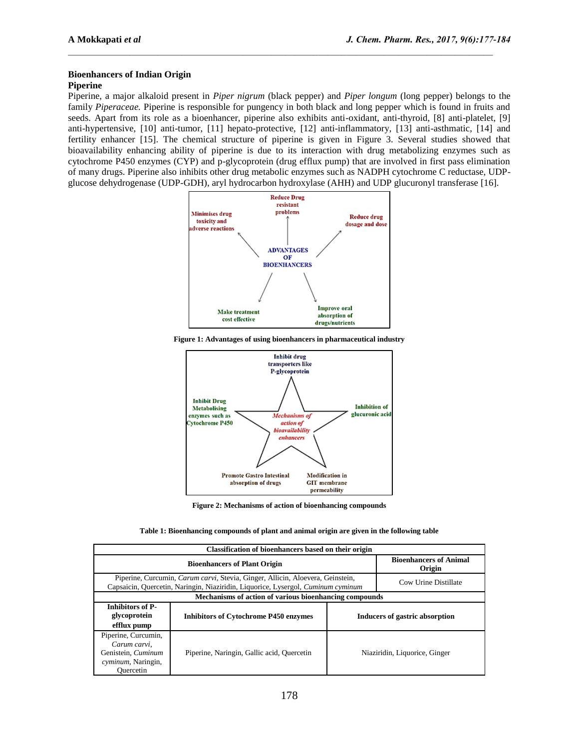# **Bioenhancers of Indian Origin**

# **Piperine**

Piperine, a major alkaloid present in *Piper nigrum* (black pepper) and *Piper longum* (long pepper) belongs to the family *Piperaceae.* Piperine is responsible for pungency in both black and long pepper which is found in fruits and seeds. Apart from its role as a bioenhancer, piperine also exhibits anti-oxidant, anti-thyroid, [8] anti-platelet, [9] anti-hypertensive, [10] anti-tumor, [11] hepato-protective, [12] anti-inflammatory, [13] anti-asthmatic, [14] and fertility enhancer [15]. The chemical structure of piperine is given in Figure 3. Several studies showed that bioavailability enhancing ability of piperine is due to its interaction with drug metabolizing enzymes such as cytochrome P450 enzymes (CYP) and p-glycoprotein (drug efflux pump) that are involved in first pass elimination of many drugs. Piperine also inhibits other drug metabolic enzymes such as NADPH cytochrome C reductase, UDPglucose dehydrogenase (UDP-GDH), aryl hydrocarbon hydroxylase (AHH) and UDP glucuronyl transferase [16].

 $\mathcal{L}_\text{max}$ 







**Figure 2: Mechanisms of action of bioenhancing compounds**

| Classification of bioenhancers based on their origin                                                                                                                       |                                              |                                       |                      |  |  |  |  |
|----------------------------------------------------------------------------------------------------------------------------------------------------------------------------|----------------------------------------------|---------------------------------------|----------------------|--|--|--|--|
|                                                                                                                                                                            | <b>Bioenhancers of Animal</b><br>Origin      |                                       |                      |  |  |  |  |
| Piperine, Curcumin, <i>Carum carvi</i> , Stevia, Ginger, Allicin, Aloevera, Geinstein,<br>Capsaicin, Quercetin, Naringin, Niaziridin, Liquorice, Lysergol, Cuminum cyminum |                                              |                                       | Cow Urine Distillate |  |  |  |  |
| Mechanisms of action of various bioenhancing compounds                                                                                                                     |                                              |                                       |                      |  |  |  |  |
| <b>Inhibitors of P-</b><br>glycoprotein<br>efflux pump                                                                                                                     | <b>Inhibitors of Cytochrome P450 enzymes</b> | <b>Inducers of gastric absorption</b> |                      |  |  |  |  |
| Piperine, Curcumin,<br>Carum carvi.<br>Genistein, Cuminum<br>cyminum, Naringin,<br>Ouercetin                                                                               | Piperine, Naringin, Gallic acid, Quercetin   | Niaziridin, Liquorice, Ginger         |                      |  |  |  |  |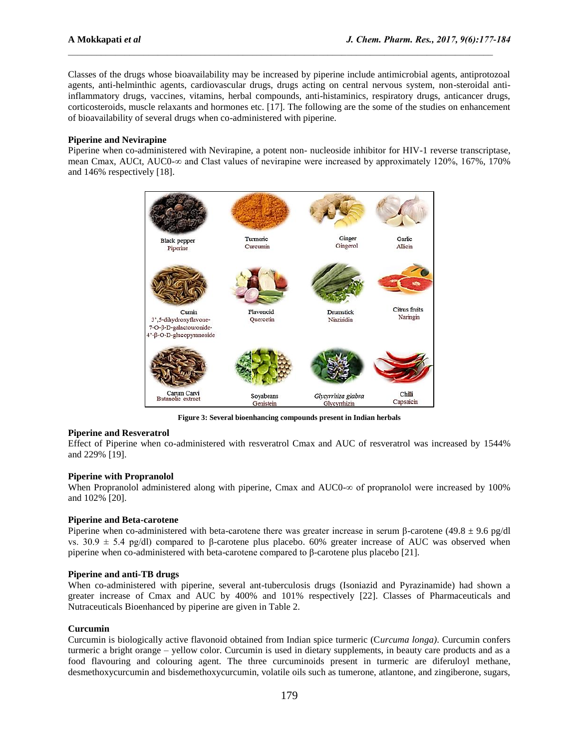Classes of the drugs whose bioavailability may be increased by piperine include antimicrobial agents, antiprotozoal agents, anti-helminthic agents, cardiovascular drugs, drugs acting on central nervous system, non-steroidal antiinflammatory drugs, vaccines, vitamins, herbal compounds, anti-histaminics, respiratory drugs, anticancer drugs, corticosteroids, muscle relaxants and hormones etc. [17]. The following are the some of the studies on enhancement of bioavailability of several drugs when co-administered with piperine.

 $\mathcal{L}_\text{max}$ 

#### **Piperine and Nevirapine**

Piperine when co-administered with Nevirapine, a potent non- nucleoside inhibitor for HIV-1 reverse transcriptase, mean Cmax, AUCt, AUC0-∞ and Clast values of nevirapine were increased by approximately 120%, 167%, 170% and 146% respectively [18].



**Figure 3: Several bioenhancing compounds present in Indian herbals**

#### **Piperine and Resveratrol**

Effect of Piperine when co-administered with resveratrol Cmax and AUC of resveratrol was increased by 1544% and 229% [19].

### **Piperine with Propranolol**

When Propranolol administered along with piperine, Cmax and AUC0-∞ of propranolol were increased by 100% and 102% [20].

## **Piperine and Beta-carotene**

Piperine when co-administered with beta-carotene there was greater increase in serum β-carotene (49.8 ± 9.6 pg/dl vs. 30.9 ± 5.4 pg/dl) compared to β-carotene plus placebo. 60% greater increase of AUC was observed when piperine when co-administered with beta-carotene compared to β-carotene plus placebo [21].

#### **Piperine and anti-TB drugs**

When co-administered with piperine, several ant-tuberculosis drugs (Isoniazid and Pyrazinamide) had shown a greater increase of Cmax and AUC by 400% and 101% respectively [22]. Classes of Pharmaceuticals and Nutraceuticals Bioenhanced by piperine are given in Table 2.

### **Curcumin**

Curcumin is biologically active flavonoid obtained from Indian spice turmeric (C*urcuma longa)*. Curcumin confers turmeric a bright orange – yellow color. Curcumin is used in dietary supplements, in beauty care products and as a food flavouring and colouring agent. The three curcuminoids present in turmeric are diferuloyl methane, desmethoxycurcumin and bisdemethoxycurcumin, volatile oils such as tumerone, atlantone, and zingiberone, sugars,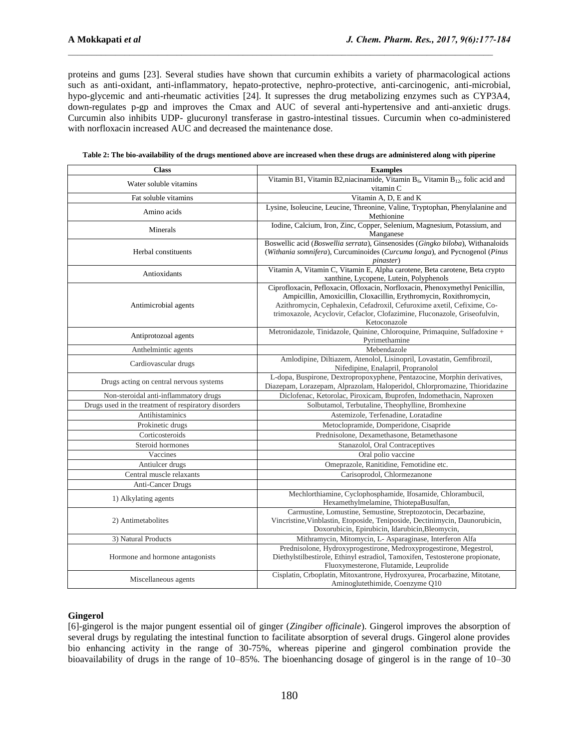proteins and gums [23]. Several studies have shown that curcumin exhibits a variety of pharmacological actions such as anti-oxidant, anti-inflammatory, hepato-protective, nephro-protective, anti-carcinogenic, anti-microbial, hypo-glycemic and anti-rheumatic activities [24]. It supresses the drug metabolizing enzymes such as CYP3A4, down-regulates p-gp and improves the Cmax and AUC of several anti-hypertensive and anti-anxietic drugs. Curcumin also inhibits UDP- glucuronyl transferase in gastro-intestinal tissues. Curcumin when co-administered with norfloxacin increased AUC and decreased the maintenance dose.

 $\mathcal{L}_\text{max}$ 

| <b>Class</b>                                         | <b>Examples</b>                                                                                                                                                                                                                                                                                                           |  |  |
|------------------------------------------------------|---------------------------------------------------------------------------------------------------------------------------------------------------------------------------------------------------------------------------------------------------------------------------------------------------------------------------|--|--|
| Water soluble vitamins                               | Vitamin B1, Vitamin B2, niacinamide, Vitamin B <sub>6</sub> , Vitamin B <sub>12</sub> , folic acid and<br>vitamin C                                                                                                                                                                                                       |  |  |
| Fat soluble vitamins                                 | Vitamin A, D, E and K                                                                                                                                                                                                                                                                                                     |  |  |
| Amino acids                                          | Lysine, Isoleucine, Leucine, Threonine, Valine, Tryptophan, Phenylalanine and<br>Methionine                                                                                                                                                                                                                               |  |  |
| Minerals                                             | Iodine, Calcium, Iron, Zinc, Copper, Selenium, Magnesium, Potassium, and<br>Manganese                                                                                                                                                                                                                                     |  |  |
| Herbal constituents                                  | Boswellic acid (Boswellia serrata), Ginsenosides (Gingko biloba), Withanaloids<br>(Withania somnifera), Curcuminoides (Curcuma longa), and Pycnogenol (Pinus<br><i>pinaster</i> )                                                                                                                                         |  |  |
| Antioxidants                                         | Vitamin A, Vitamin C, Vitamin E, Alpha carotene, Beta carotene, Beta crypto<br>xanthine, Lycopene, Lutein, Polyphenols                                                                                                                                                                                                    |  |  |
| Antimicrobial agents                                 | Ciprofloxacin, Pefloxacin, Ofloxacin, Norfloxacin, Phenoxymethyl Penicillin,<br>Ampicillin, Amoxicillin, Cloxacillin, Erythromycin, Roxithromycin,<br>Azithromycin, Cephalexin, Cefadroxil, Cefuroxime axetil, Cefixime, Co-<br>trimoxazole, Acyclovir, Cefaclor, Clofazimine, Fluconazole, Griseofulvin,<br>Ketoconazole |  |  |
| Antiprotozoal agents                                 | Metronidazole, Tinidazole, Quinine, Chloroquine, Primaquine, Sulfadoxine +<br>Pyrimethamine                                                                                                                                                                                                                               |  |  |
| Anthelmintic agents                                  | Mebendazole                                                                                                                                                                                                                                                                                                               |  |  |
| Cardiovascular drugs                                 | Amlodipine, Diltiazem, Atenolol, Lisinopril, Lovastatin, Gemfibrozil,<br>Nifedipine, Enalapril, Propranolol                                                                                                                                                                                                               |  |  |
| Drugs acting on central nervous systems              | L-dopa, Buspirone, Dextropropoxyphene, Pentazocine, Morphin derivatives,<br>Diazepam, Lorazepam, Alprazolam, Haloperidol, Chlorpromazine, Thioridazine                                                                                                                                                                    |  |  |
| Non-steroidal anti-inflammatory drugs                | Diclofenac, Ketorolac, Piroxicam, Ibuprofen, Indomethacin, Naproxen                                                                                                                                                                                                                                                       |  |  |
| Drugs used in the treatment of respiratory disorders | Solbutamol, Terbutaline, Theophylline, Bromhexine                                                                                                                                                                                                                                                                         |  |  |
| Antihistaminics                                      | Astemizole, Terfenadine, Loratadine                                                                                                                                                                                                                                                                                       |  |  |
| Prokinetic drugs                                     | Metoclopramide, Domperidone, Cisapride                                                                                                                                                                                                                                                                                    |  |  |
| Corticosteroids                                      | Prednisolone, Dexamethasone, Betamethasone                                                                                                                                                                                                                                                                                |  |  |
| Steroid hormones                                     | Stanazolol, Oral Contraceptives                                                                                                                                                                                                                                                                                           |  |  |
| Vaccines                                             | Oral polio vaccine                                                                                                                                                                                                                                                                                                        |  |  |
| Antiulcer drugs                                      | Omeprazole, Ranitidine, Femotidine etc.                                                                                                                                                                                                                                                                                   |  |  |
| Central muscle relaxants                             | Carisoprodol, Chlormezanone                                                                                                                                                                                                                                                                                               |  |  |
| <b>Anti-Cancer Drugs</b>                             |                                                                                                                                                                                                                                                                                                                           |  |  |
| 1) Alkylating agents                                 | Mechlorthiamine, Cyclophosphamide, Ifosamide, Chlorambucil,<br>Hexamethylmelamine, ThiotepaBusulfan,                                                                                                                                                                                                                      |  |  |
| 2) Antimetabolites                                   | Carmustine, Lomustine, Semustine, Streptozotocin, Decarbazine,<br>Vincristine, Vinblastin, Etoposide, Teniposide, Dectinimycin, Daunorubicin,<br>Doxorubicin, Epirubicin, Idarubicin, Bleomycin,                                                                                                                          |  |  |
| 3) Natural Products                                  | Mithramycin, Mitomycin, L- Asparaginase, Interferon Alfa                                                                                                                                                                                                                                                                  |  |  |
| Hormone and hormone antagonists                      | Prednisolone, Hydroxyprogestirone, Medroxyprogestirone, Megestrol,<br>Diethylstilbestirole, Ethinyl estradiol, Tamoxifen, Testosterone propionate,<br>Fluoxymesterone, Flutamide, Leuprolide                                                                                                                              |  |  |
| Miscellaneous agents                                 | Cisplatin, Crboplatin, Mitoxantrone, Hydroxyurea, Procarbazine, Mitotane,<br>Aminoglutethimide, Coenzyme Q10                                                                                                                                                                                                              |  |  |

**Table 2: The bio-availability of the drugs mentioned above are increased when these drugs are administered along with piperine**

#### **Gingerol**

[6]-gingerol is the major pungent essential oil of ginger (*Zingiber officinale*). Gingerol improves the absorption of several drugs by regulating the intestinal function to facilitate absorption of several drugs. Gingerol alone provides bio enhancing activity in the range of 30-75%, whereas piperine and gingerol combination provide the bioavailability of drugs in the range of 10–85%. The bioenhancing dosage of gingerol is in the range of 10–30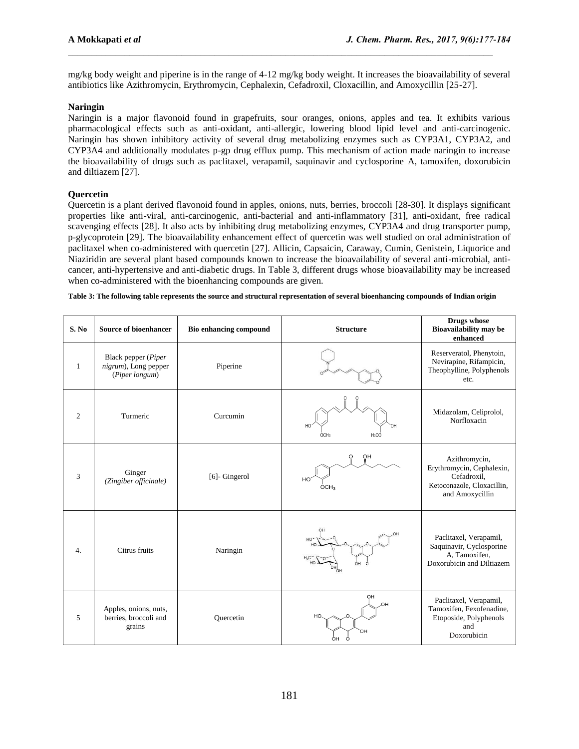mg/kg body weight and piperine is in the range of 4-12 mg/kg body weight. It increases the bioavailability of several antibiotics like Azithromycin, Erythromycin, Cephalexin, Cefadroxil, Cloxacillin, and Amoxycillin [25-27].

 $\mathcal{L}_\text{max}$ 

# **Naringin**

Naringin is a major flavonoid found in grapefruits, sour oranges, onions, apples and tea. It exhibits various pharmacological effects such as anti-oxidant, anti-allergic, lowering blood lipid level and anti-carcinogenic. Naringin has shown inhibitory activity of several drug metabolizing enzymes such as CYP3A1, CYP3A2, and CYP3A4 and additionally modulates p-gp drug efflux pump. This mechanism of action made naringin to increase the bioavailability of drugs such as paclitaxel, verapamil, saquinavir and cyclosporine A, tamoxifen, doxorubicin and diltiazem [27].

# **Quercetin**

Quercetin is a plant derived flavonoid found in apples, onions, nuts, berries, broccoli [28-30]. It displays significant properties like anti-viral, anti-carcinogenic, anti-bacterial and anti-inflammatory [31], anti-oxidant, free radical scavenging effects [28]. It also acts by inhibiting drug metabolizing enzymes, CYP3A4 and drug transporter pump, p-glycoprotein [29]. The bioavailability enhancement effect of quercetin was well studied on oral administration of paclitaxel when co-administered with quercetin [27]. Allicin, Capsaicin, Caraway, Cumin, Genistein, Liquorice and Niaziridin are several plant based compounds known to increase the bioavailability of several anti-microbial, anticancer, anti-hypertensive and anti-diabetic drugs. In Table 3, different drugs whose bioavailability may be increased when co-administered with the bioenhancing compounds are given.

**Table 3: The following table represents the source and structural representation of several bioenhancing compounds of Indian origin**

| S. No            | <b>Source of bioenhancer</b>                                  | <b>Bio enhancing compound</b> | <b>Structure</b>                            | <b>Drugs</b> whose<br><b>Bioavailability may be</b><br>enhanced                                            |
|------------------|---------------------------------------------------------------|-------------------------------|---------------------------------------------|------------------------------------------------------------------------------------------------------------|
| 1                | Black pepper (Piper<br>nigrum), Long pepper<br>(Piper longum) | Piperine                      |                                             | Reserveratol, Phenytoin,<br>Nevirapine, Rifampicin,<br>Theophylline, Polyphenols<br>etc.                   |
| $\overline{c}$   | Turmeric                                                      | Curcumin                      | НC<br>OCH <sub>3</sub><br>H <sub>3</sub> CO | Midazolam, Celiprolol,<br>Norfloxacin                                                                      |
| 3                | Ginger<br>(Zingiber officinale)                               | [6]- Gingerol                 | OH<br>O<br>HO<br>OCH <sub>3</sub>           | Azithromycin,<br>Erythromycin, Cephalexin,<br>Cefadroxil.<br>Ketoconazole, Cloxacillin,<br>and Amoxycillin |
| $\overline{4}$ . | Citrus fruits                                                 | Naringin                      | OН                                          | Paclitaxel, Verapamil,<br>Saquinavir, Cyclosporine<br>A, Tamoxifen,<br>Doxorubicin and Diltiazem           |
| 5                | Apples, onions, nuts,<br>berries, broccoli and<br>grains      | Quercetin                     | OH<br>HO.<br>HO.<br>OН<br>Õ<br>ÓН           | Paclitaxel, Verapamil,<br>Tamoxifen, Fexofenadine,<br>Etoposide, Polyphenols<br>and<br>Doxorubicin         |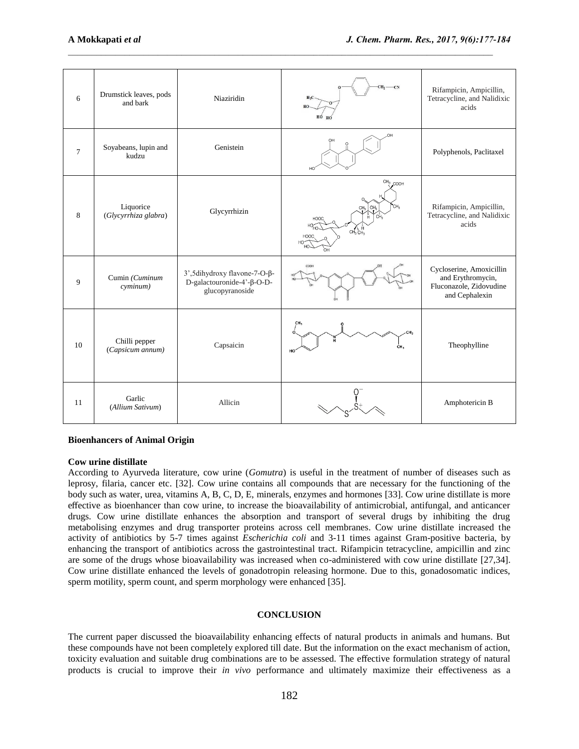| 6              | Drumstick leaves, pods<br>and bark | Niaziridin                                                                               | CH <sub>2</sub><br>$-cv$<br>$H_3C$<br>HO<br>HÓ<br>HO                                                       | Rifampicin, Ampicillin,<br>Tetracycline, and Nalidixic<br>acids                            |
|----------------|------------------------------------|------------------------------------------------------------------------------------------|------------------------------------------------------------------------------------------------------------|--------------------------------------------------------------------------------------------|
| $\overline{7}$ | Soyabeans, lupin and<br>kudzu      | Genistein                                                                                |                                                                                                            | Polyphenols, Paclitaxel                                                                    |
| 8              | Liquorice<br>(Glycyrrhiza glabra)  | Glycyrrhizin                                                                             | $\text{CH}_3$ ,<br>COOH<br>CH <sub>3</sub><br>CH <sub>3</sub><br>CH.<br>$CH_3$ $CH_3$<br>HOOC<br>HO<br>'nн | Rifampicin, Ampicillin,<br>Tetracycline, and Nalidixic<br>acids                            |
| 9              | Cumin (Cuminum<br>$c$ yminum $)$   | 3',5dihydroxy flavone-7-O-β-<br>$D$ -galactouronide-4'- $\beta$ -O-D-<br>glucopyranoside | COOH                                                                                                       | Cycloserine, Amoxicillin<br>and Erythromycin,<br>Fluconazole, Zidovudine<br>and Cephalexin |
| 10             | Chilli pepper<br>(Capsicum annum)  | Capsaicin                                                                                | CH <sub>3</sub><br>ċн <sub>з</sub><br>HO                                                                   | Theophylline                                                                               |
| 11             | Garlic<br>(Allium Sativum)         | Allicin                                                                                  |                                                                                                            | Amphotericin B                                                                             |

 $\mathcal{L}_\text{max}$ 

#### **Bioenhancers of Animal Origin**

### **Cow urine distillate**

According to Ayurveda literature, cow urine (*Gomutra*) is useful in the treatment of number of diseases such as leprosy, filaria, cancer etc. [32]. Cow urine contains all compounds that are necessary for the functioning of the body such as water, urea, vitamins A, B, C, D, E, minerals, enzymes and hormones [33]. Cow urine distillate is more effective as bioenhancer than cow urine, to increase the bioavailability of antimicrobial, antifungal, and anticancer drugs. Cow urine distillate enhances the absorption and transport of several drugs by inhibiting the drug metabolising enzymes and drug transporter proteins across cell membranes. Cow urine distillate increased the activity of antibiotics by 5-7 times against *Escherichia coli* and 3-11 times against Gram-positive bacteria, by enhancing the transport of antibiotics across the gastrointestinal tract. Rifampicin tetracycline, ampicillin and zinc are some of the drugs whose bioavailability was increased when co-administered with cow urine distillate [27,34]. Cow urine distillate enhanced the levels of gonadotropin releasing hormone. Due to this, gonadosomatic indices, sperm motility, sperm count, and sperm morphology were enhanced [35].

## **CONCLUSION**

The current paper discussed the bioavailability enhancing effects of natural products in animals and humans. But these compounds have not been completely explored till date. But the information on the exact mechanism of action, toxicity evaluation and suitable drug combinations are to be assessed. The effective formulation strategy of natural products is crucial to improve their *in vivo* performance and ultimately maximize their effectiveness as a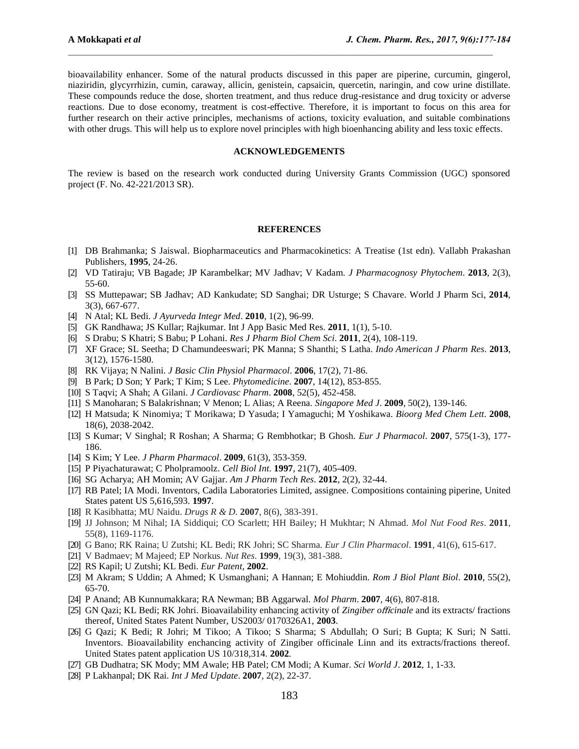bioavailability enhancer. Some of the natural products discussed in this paper are piperine, curcumin, gingerol, niaziridin, glycyrrhizin, cumin, caraway, allicin, genistein, capsaicin, quercetin, naringin, and cow urine distillate. These compounds reduce the dose, shorten treatment, and thus reduce drug-resistance and drug toxicity or adverse reactions. Due to dose economy, treatment is cost-effective. Therefore, it is important to focus on this area for further research on their active principles, mechanisms of actions, toxicity evaluation, and suitable combinations with other drugs. This will help us to explore novel principles with high bioenhancing ability and less toxic effects.

 $\mathcal{L}_\text{max}$ 

# **ACKNOWLEDGEMENTS**

The review is based on the research work conducted during University Grants Commission (UGC) sponsored project (F. No. 42-221/2013 SR).

#### **REFERENCES**

- [1] DB Brahmanka; S Jaiswal. Biopharmaceutics and Pharmacokinetics: A Treatise (1st edn). Vallabh Prakashan Publishers, **1995**, 24-26.
- [2] VD Tatiraju; VB Bagade; JP Karambelkar; MV Jadhav; V Kadam. *J Pharmacognosy Phytochem*. **2013**, 2(3), 55-60.
- [3] SS Muttepawar; SB Jadhav; AD Kankudate; SD Sanghai; DR Usturge; S Chavare. World J Pharm Sci, **2014**, 3(3), 667-677.
- [4] N Atal; KL Bedi. *J Ayurveda Integr Med*. **2010**, 1(2), 96-99.
- [5] GK Randhawa; JS Kullar; Rajkumar. Int J App Basic Med Res. **2011**, 1(1), 5-10.
- [6] S Drabu; S Khatri; S Babu; P Lohani. *Res J Pharm Biol Chem Sci*. **2011**, 2(4), 108-119.
- [7] XF Grace; SL Seetha; D Chamundeeswari; PK Manna; S Shanthi; S Latha. *Indo American J Pharm Res*. **2013**, 3(12), 1576-1580.
- [8] RK Vijaya; N Nalini. *J Basic Clin Physiol Pharmacol*. **2006**, 17(2), 71-86.
- [9] B Park; D Son; Y Park; T Kim; S Lee. *Phytomedicine*. **2007**, 14(12), 853-855.
- [10] S Taqvi; A Shah; A Gilani. *J Cardiovasc Pharm*. **2008**, 52(5), 452-458.
- [11] S Manoharan; S Balakrishnan; V Menon; L Alias; A Reena. *Singapore Med J*. **2009**, 50(2), 139-146.
- [12] H Matsuda; K Ninomiya; T Morikawa; D Yasuda; I Yamaguchi; M Yoshikawa. *Bioorg Med Chem Lett*. **2008**, 18(6), 2038-2042.
- [13] S Kumar; V Singhal; R Roshan; A Sharma; G Rembhotkar; B Ghosh. *Eur J Pharmacol*. **2007**, 575(1-3), 177- 186.
- [14] S Kim; Y Lee. *J Pharm Pharmacol*. **2009**, 61(3), 353-359.
- [15] P Piyachaturawat; C Pholpramoolz. *Cell Biol Int*. **1997**, 21(7), 405-409.
- [16] SG Acharya; AH Momin; AV Gajjar. *Am J Pharm Tech Res*. **2012**, 2(2), 32-44.
- [17] RB Patel; IA Modi. Inventors, Cadila Laboratories Limited, assignee. Compositions containing piperine, United States patent US 5,616,593. **1997**.
- [18] R Kasibhatta; MU Naidu. *Drugs R & D*. **2007**, 8(6), 383-391.
- [19] JJ Johnson; M Nihal; IA Siddiqui; CO Scarlett; HH Bailey; H Mukhtar; N Ahmad. *Mol Nut Food Res*. **2011**, 55(8), 1169-1176.
- [20] G Bano; RK Raina; U Zutshi; KL Bedi; RK Johri; SC Sharma. *Eur J Clin Pharmacol*. **1991**, 41(6), 615-617.
- [21] V Badmaev; M Majeed; EP Norkus. *Nut Res*. **1999**, 19(3), 381-388.
- [22] RS Kapil; U Zutshi; KL Bedi. *Eur Patent*, **2002**.
- [23] M Akram; S Uddin; A Ahmed; K Usmanghani; A Hannan; E Mohiuddin. *Rom J Biol Plant Biol*. **2010**, 55(2), 65-70.
- [24] P Anand; AB Kunnumakkara; RA Newman; BB Aggarwal. *Mol Pharm*. **2007**, 4(6), 807-818.
- [25] GN Qazi; KL Bedi; RK Johri. Bioavailability enhancing activity of *Zingiber o*ffi*cinale* and its extracts/ fractions thereof, United States Patent Number, US2003/ 0170326A1, **2003**.
- [26] G Qazi; K Bedi; R Johri; M Tikoo; A Tikoo; S Sharma; S Abdullah; O Suri; B Gupta; K Suri; N Satti. Inventors. Bioavailability enchancing activity of Zingiber officinale Linn and its extracts/fractions thereof. United States patent application US 10/318,314. **2002**.
- [27] GB Dudhatra; SK Mody; MM Awale; HB Patel; CM Modi; A Kumar. *Sci World J*. **2012**, 1, 1-33.
- [28] P Lakhanpal; DK Rai. *Int J Med Update*. **2007**, 2(2), 22-37.